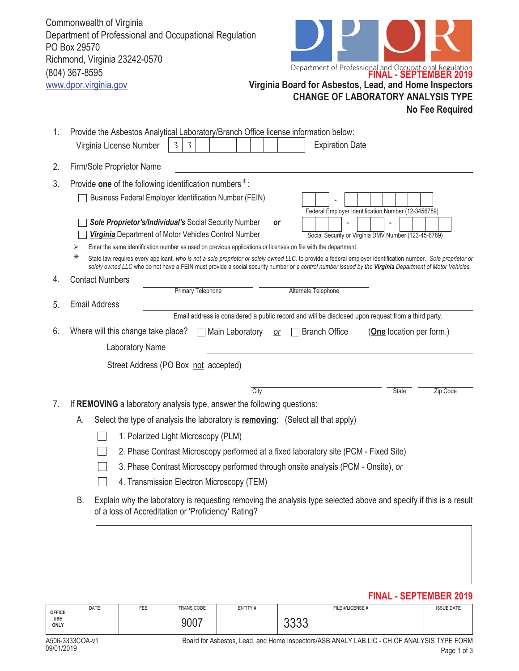|    | Commonwealth of Virginia<br>Department of Professional and Occupational Regulation<br>PO Box 29570<br>Richmond, Virginia 23242-0570<br>Department of Professional and Occupational Regulation<br>FINAL - SEPTEMBER 2019<br>(804) 367-8595<br>www.dpor.virginia.gov<br>Virginia Board for Asbestos, Lead, and Home Inspectors<br><b>CHANGE OF LABORATORY ANALYSIS TYPE</b><br><b>No Fee Required</b>                                                                                                                                                                                                     |
|----|---------------------------------------------------------------------------------------------------------------------------------------------------------------------------------------------------------------------------------------------------------------------------------------------------------------------------------------------------------------------------------------------------------------------------------------------------------------------------------------------------------------------------------------------------------------------------------------------------------|
| 1. | Provide the Asbestos Analytical Laboratory/Branch Office license information below:<br>$\overline{3}$<br><b>Expiration Date</b><br>Virginia License Number<br>3                                                                                                                                                                                                                                                                                                                                                                                                                                         |
| 2. | Firm/Sole Proprietor Name                                                                                                                                                                                                                                                                                                                                                                                                                                                                                                                                                                               |
| 3. | Provide one of the following identification numbers*:                                                                                                                                                                                                                                                                                                                                                                                                                                                                                                                                                   |
|    | Business Federal Employer Identification Number (FEIN)<br>Federal Employer Identification Number (12-3456789)<br>Sole Proprietor's/Individual's Social Security Number<br><b>or</b><br><b>Virginia</b> Department of Motor Vehicles Control Number<br>Social Security or Virginia DMV Number (123-45-6789)<br>Enter the same identification number as used on previous applications or licenses on file with the department.<br>⋗<br>⋇<br>State law requires every applicant, who is not a sole proprietor or solely owned LLC, to provide a federal employer identification number. Sole proprietor or |
| 4. | solely owned LLC who do not have a FEIN must provide a social security number or a control number issued by the Virginia Department of Motor Vehicles.<br><b>Contact Numbers</b>                                                                                                                                                                                                                                                                                                                                                                                                                        |
|    | <b>Primary Telephone</b><br>Alternate Telephone                                                                                                                                                                                                                                                                                                                                                                                                                                                                                                                                                         |
| 5. | <b>Email Address</b>                                                                                                                                                                                                                                                                                                                                                                                                                                                                                                                                                                                    |
| 6. | Email address is considered a public record and will be disclosed upon request from a third party.<br>Where will this change take place?<br>Main Laboratory<br><b>Branch Office</b><br>(One location per form.)<br>0r<br><b>Laboratory Name</b>                                                                                                                                                                                                                                                                                                                                                         |
|    | Street Address (PO Box not accepted)                                                                                                                                                                                                                                                                                                                                                                                                                                                                                                                                                                    |
|    | City<br>Zip Code<br><b>State</b>                                                                                                                                                                                                                                                                                                                                                                                                                                                                                                                                                                        |
| 7. | If REMOVING a laboratory analysis type, answer the following questions:                                                                                                                                                                                                                                                                                                                                                                                                                                                                                                                                 |
|    | Select the type of analysis the laboratory is removing: (Select all that apply)<br>А.                                                                                                                                                                                                                                                                                                                                                                                                                                                                                                                   |
|    | 1. Polarized Light Microscopy (PLM)                                                                                                                                                                                                                                                                                                                                                                                                                                                                                                                                                                     |
|    | 2. Phase Contrast Microscopy performed at a fixed laboratory site (PCM - Fixed Site)                                                                                                                                                                                                                                                                                                                                                                                                                                                                                                                    |
|    | 3. Phase Contrast Microscopy performed through onsite analysis (PCM - Onsite), or                                                                                                                                                                                                                                                                                                                                                                                                                                                                                                                       |
|    | 4. Transmission Electron Microscopy (TEM)                                                                                                                                                                                                                                                                                                                                                                                                                                                                                                                                                               |
|    | В.<br>Explain why the laboratory is requesting removing the analysis type selected above and specify if this is a result<br>of a loss of Accreditation or 'Proficiency' Rating?                                                                                                                                                                                                                                                                                                                                                                                                                         |
|    |                                                                                                                                                                                                                                                                                                                                                                                                                                                                                                                                                                                                         |

## **FINAL - SEPTEMBER 2019**

| <b>OFFICE</b>             | DATE | FEE | <b>TRANS CODE</b> | ENTITY# | FILE #/LICENSE #                                                                               | <b>ISSUE DATE</b> |
|---------------------------|------|-----|-------------------|---------|------------------------------------------------------------------------------------------------|-------------------|
| <b>USE</b><br><b>ONLY</b> |      |     | 9007              |         | nnnn<br>טטע                                                                                    |                   |
|                           |      |     |                   |         |                                                                                                |                   |
| $A EAC$ 2222 $C A$ $A$    |      |     |                   |         | Desailler Askestes, Land, and Hanse Jacqueters (AOD, ANALV LAD LIO, OLLOF, ANALVOIO TVDF, FODM |                   |

Page 1 of 3 Board for Asbestos, Lead, and Home Inspectors/ASB ANALY LAB LIC - CH OF ANALYSIS TYPE FORM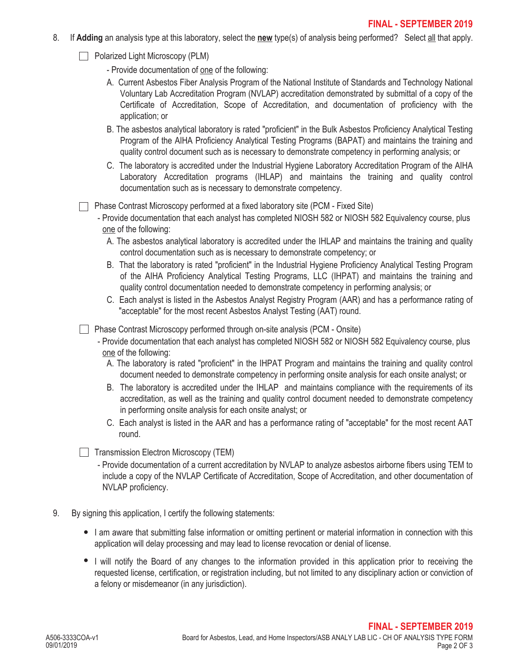- 8. If **Adding** an analysis type at this laboratory, select the **new** type(s) of analysis being performed? Select all that apply.
	- **Polarized Light Microscopy (PLM)**

- Provide documentation of one of the following:

- A. Current Asbestos Fiber Analysis Program of the National Institute of Standards and Technology National Voluntary Lab Accreditation Program (NVLAP) accreditation demonstrated by submittal of a copy of the Certificate of Accreditation, Scope of Accreditation, and documentation of proficiency with the application; or
- B. The asbestos analytical laboratory is rated "proficient" in the Bulk Asbestos Proficiency Analytical Testing Program of the AIHA Proficiency Analytical Testing Programs (BAPAT) and maintains the training and quality control document such as is necessary to demonstrate competency in performing analysis; or
- C. The laboratory is accredited under the Industrial Hygiene Laboratory Accreditation Program of the AIHA Laboratory Accreditation programs (IHLAP) and maintains the training and quality control documentation such as is necessary to demonstrate competency.

Phase Contrast Microscopy performed at a fixed laboratory site (PCM - Fixed Site)

- Provide documentation that each analyst has completed NIOSH 582 or NIOSH 582 Equivalency course, plus one of the following:
	- A. The asbestos analytical laboratory is accredited under the IHLAP and maintains the training and quality control documentation such as is necessary to demonstrate competency; or
	- B. That the laboratory is rated "proficient" in the Industrial Hygiene Proficiency Analytical Testing Program of the AIHA Proficiency Analytical Testing Programs, LLC (IHPAT) and maintains the training and quality control documentation needed to demonstrate competency in performing analysis; or
	- C. Each analyst is listed in the Asbestos Analyst Registry Program (AAR) and has a performance rating of "acceptable" for the most recent Asbestos Analyst Testing (AAT) round.

Phase Contrast Microscopy performed through on-site analysis (PCM - Onsite)

- Provide documentation that each analyst has completed NIOSH 582 or NIOSH 582 Equivalency course, plus one of the following:
	- A. The laboratory is rated "proficient" in the IHPAT Program and maintains the training and quality control document needed to demonstrate competency in performing onsite analysis for each onsite analyst; or
	- B. The laboratory is accredited under the IHLAP and maintains compliance with the requirements of its accreditation, as well as the training and quality control document needed to demonstrate competency in performing onsite analysis for each onsite analyst; or
	- C. Each analyst is listed in the AAR and has a performance rating of "acceptable" for the most recent AAT round.

 $\Box$  Transmission Electron Microscopy (TEM)

- Provide documentation of a current accreditation by NVLAP to analyze asbestos airborne fibers using TEM to include a copy of the NVLAP Certificate of Accreditation, Scope of Accreditation, and other documentation of NVLAP proficiency.
- 9. By signing this application, I certify the following statements:
	- I am aware that submitting false information or omitting pertinent or material information in connection with this application will delay processing and may lead to license revocation or denial of license.
	- I will notify the Board of any changes to the information provided in this application prior to receiving the requested license, certification, or registration including, but not limited to any disciplinary action or conviction of a felony or misdemeanor (in any jurisdiction).